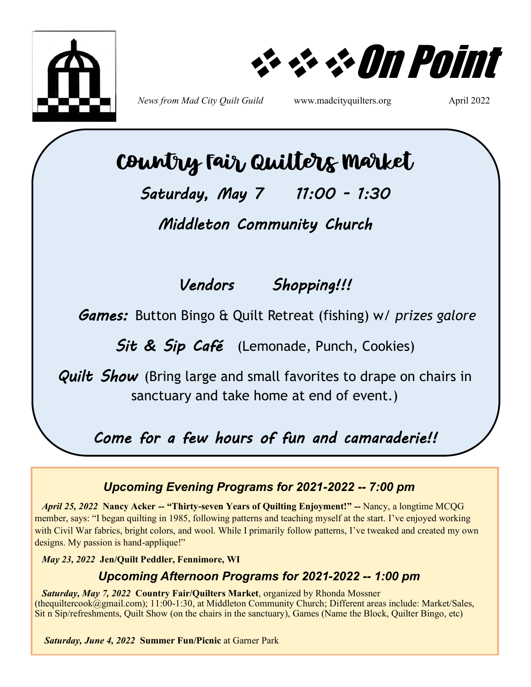

❖❖❖On Point

*News from Mad City Quilt Guild* www.madcityquilters.org April 2022

# Country Fair Quilters Market

*Saturday, May 7 11:00 - 1:30* 

*Middleton Community Church* 

## *Vendors Shopping!!!*

*Games:* Button Bingo & Quilt Retreat (fishing) w/ *prizes galore*

Sit & Sip Café (Lemonade, Punch, Cookies)

*Quilt Show* (Bring large and small favorites to drape on chairs in sanctuary and take home at end of event.)

*Come for a few hours of fun and camaraderie!!* 

### *Upcoming Evening Programs for 2021-2022 -- 7:00 pm*

 *April 25, 2022* **Nancy Acker -- "Thirty-seven Years of Quilting Enjoyment!" --** Nancy, a longtime MCQG member, says: "I began quilting in 1985, following patterns and teaching myself at the start. I've enjoyed working with Civil War fabrics, bright colors, and wool. While I primarily follow patterns, I've tweaked and created my own designs. My passion is hand-applique!"

 *May 23, 2022* **Jen/Quilt Peddler, Fennimore, WI** 

## *Upcoming Afternoon Programs for 2021-2022 -- 1:00 pm*

*Saturday, May 7, 2022* **Country Fair/Quilters Market**, organized by Rhonda Mossner (thequiltercook@gmail.com); 11:00-1:30, at Middleton Community Church; Different areas include: Market/Sales, Sit n Sip/refreshments, Quilt Show (on the chairs in the sanctuary), Games (Name the Block, Quilter Bingo, etc)

*Saturday, June 4, 2022* **Summer Fun/Picnic** at Garner Park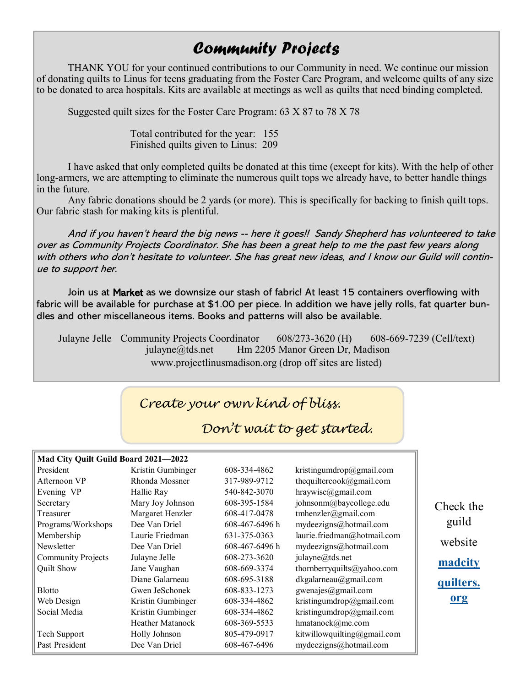## *Community Projects*

THANK YOU for your continued contributions to our Community in need. We continue our mission of donating quilts to Linus for teens graduating from the Foster Care Program, and welcome quilts of any size to be donated to area hospitals. Kits are available at meetings as well as quilts that need binding completed.

Suggested quilt sizes for the Foster Care Program: 63 X 87 to 78 X 78

Total contributed for the year: 155 Finished quilts given to Linus: 209

I have asked that only completed quilts be donated at this time (except for kits). With the help of other long-armers, we are attempting to eliminate the numerous quilt tops we already have, to better handle things in the future.

Any fabric donations should be 2 yards (or more). This is specifically for backing to finish quilt tops. Our fabric stash for making kits is plentiful.

And if you haven't heard the big news -- here it goes!! Sandy Shepherd has volunteered to take over as Community Projects Coordinator. She has been a great help to me the past few years along with others who don't hesitate to volunteer. She has great new ideas, and I know our Guild will continue to support her.

Join us at Market as we downsize our stash of fabric! At least 15 containers overflowing with fabric will be available for purchase at \$1.00 per piece. In addition we have jelly rolls, fat quarter bundles and other miscellaneous items. Books and patterns will also be available.

Julayne Jelle Community Projects Coordinator 608/273-3620 (H) 608-669-7239 (Cell/text) julayne@tds.net Hm 2205 Manor Green Dr, Madison www.projectlinusmadison.org (drop off sites are listed)

## *Create your own kind of bliss.*

## *Don't wait to get started.*

#### **Mad City Quilt Guild Board 2021—2022**

| President                 | Kristin Gumbinger       | 608-334-4862   | kristingumdrop@gmail.com    |
|---------------------------|-------------------------|----------------|-----------------------------|
| Afternoon VP              | Rhonda Mossner          | 317-989-9712   | thequiltercook@gmail.com    |
| Evening VP                | Hallie Ray              | 540-842-3070   | $hraywise$ @gmail.com       |
| Secretary                 | Mary Joy Johnson        | 608-395-1584   | johnsonm@baycollege.edu     |
| Treasurer                 | Margaret Henzler        | 608-417-0478   | tmhenzler@gmail.com         |
| Programs/Workshops        | Dee Van Driel           | 608-467-6496 h | mydeezigns@hotmail.com      |
| Membership                | Laurie Friedman         | 631-375-0363   | laurie.friedman@hotmail.com |
| Newsletter                | Dee Van Driel           | 608-467-6496 h | mydeezigns@hotmail.com      |
| <b>Community Projects</b> | Julayne Jelle           | 608-273-3620   | julayne@tds.net             |
| Quilt Show                | Jane Vaughan            | 608-669-3374   | thornberryquilts@yahoo.com  |
|                           | Diane Galarneau         | 608-695-3188   | dkgalarneau@gmail.com       |
| <b>Blotto</b>             | Gwen JeSchonek          | 608-833-1273   | gwenajes@gmail.com          |
| Web Design                | Kristin Gumbinger       | 608-334-4862   | kristingumdrop@gmail.com    |
| Social Media              | Kristin Gumbinger       | 608-334-4862   | kristingumdrop@gmail.com    |
|                           | <b>Heather Matanock</b> | 608-369-5533   | hmatanock@me.com            |
| Tech Support              | Holly Johnson           | 805-479-0917   | kitwillowquilting@gmail.com |
| Past President            | Dee Van Driel           | 608-467-6496   | mydeezigns@hotmail.com      |

Check the guild website **[madcity](#page-2-0) [quilters.](#page-2-0) [org](#page-2-0)**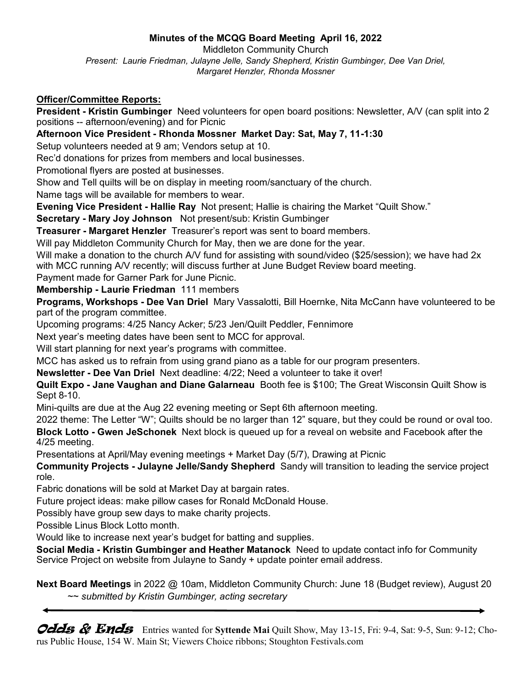#### **Minutes of the MCQG Board Meeting April 16, 2022**

<span id="page-2-0"></span>Middleton Community Church *Present: Laurie Friedman, Julayne Jelle, Sandy Shepherd, Kristin Gumbinger, Dee Van Driel, Margaret Henzler, Rhonda Mossner*

#### **Officer/Committee Reports:**

**President - Kristin Gumbinger** Need volunteers for open board positions: Newsletter, A/V (can split into 2 positions -- afternoon/evening) and for Picnic

**Afternoon Vice President - Rhonda Mossner Market Day: Sat, May 7, 11-1:30**

Setup volunteers needed at 9 am; Vendors setup at 10.

Rec'd donations for prizes from members and local businesses.

Promotional flyers are posted at businesses.

Show and Tell quilts will be on display in meeting room/sanctuary of the church.

Name tags will be available for members to wear.

**Evening Vice President - Hallie Ray** Not present; Hallie is chairing the Market "Quilt Show."

**Secretary - Mary Joy Johnson** Not present/sub: Kristin Gumbinger

**Treasurer - Margaret Henzler** Treasurer's report was sent to board members.

Will pay Middleton Community Church for May, then we are done for the year.

Will make a donation to the church A/V fund for assisting with sound/video (\$25/session); we have had 2x with MCC running A/V recently; will discuss further at June Budget Review board meeting.

Payment made for Garner Park for June Picnic.

**Membership - Laurie Friedman** 111 members

**Programs, Workshops - Dee Van Driel** Mary Vassalotti, Bill Hoernke, Nita McCann have volunteered to be part of the program committee.

Upcoming programs: 4/25 Nancy Acker; 5/23 Jen/Quilt Peddler, Fennimore

Next year's meeting dates have been sent to MCC for approval.

Will start planning for next year's programs with committee.

MCC has asked us to refrain from using grand piano as a table for our program presenters.

**Newsletter - Dee Van Driel** Next deadline: 4/22; Need a volunteer to take it over!

**Quilt Expo - Jane Vaughan and Diane Galarneau** Booth fee is \$100; The Great Wisconsin Quilt Show is Sept 8-10.

Mini-quilts are due at the Aug 22 evening meeting or Sept 6th afternoon meeting.

2022 theme: The Letter "W"; Quilts should be no larger than 12" square, but they could be round or oval too.

**Block Lotto - Gwen JeSchonek** Next block is queued up for a reveal on website and Facebook after the 4/25 meeting.

Presentations at April/May evening meetings + Market Day (5/7), Drawing at Picnic

**Community Projects - Julayne Jelle/Sandy Shepherd** Sandy will transition to leading the service project role.

Fabric donations will be sold at Market Day at bargain rates.

Future project ideas: make pillow cases for Ronald McDonald House.

Possibly have group sew days to make charity projects.

Possible Linus Block Lotto month.

Would like to increase next year's budget for batting and supplies.

**Social Media - Kristin Gumbinger and Heather Matanock** Need to update contact info for Community Service Project on website from Julayne to Sandy + update pointer email address.

**Next Board Meetings** in 2022 @ 10am, Middleton Community Church: June 18 (Budget review), August 20 ~~ *submitted by Kristin Gumbinger, acting secretary*

Odds & Ends Entries wanted for Syttende Mai Quilt Show, May 13-15, Fri: 9-4, Sat: 9-5, Sun: 9-12; Chorus Public House, 154 W. Main St; Viewers Choice ribbons; Stoughton Festivals.com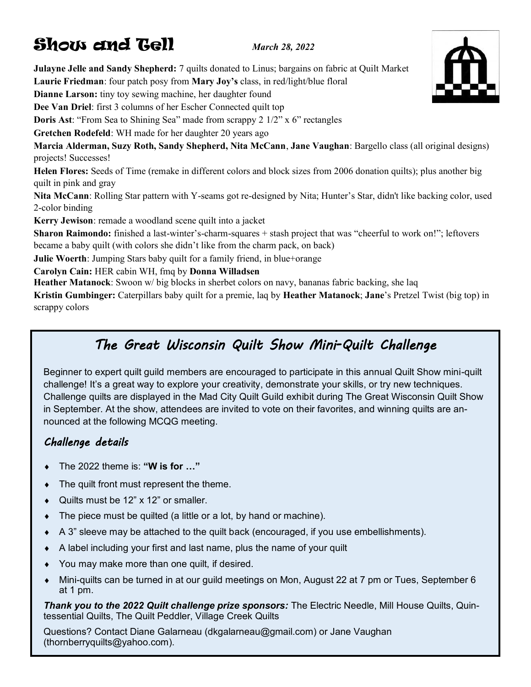## Show and Tell *March 28, 2022*

**Julayne Jelle and Sandy Shepherd:** 7 quilts donated to Linus; bargains on fabric at Quilt Market **Laurie Friedman**: four patch posy from **Mary Joy's** class, in red/light/blue floral **Dianne Larson:** tiny toy sewing machine, her daughter found **Dee Van Driel**: first 3 columns of her Escher Connected quilt top **Doris Ast:** "From Sea to Shining Sea" made from scrappy 2 1/2" x 6" rectangles **Gretchen Rodefeld**: WH made for her daughter 20 years ago **Marcia Alderman, Suzy Roth, Sandy Shepherd, Nita McCann**, **Jane Vaughan**: Bargello class (all original designs) projects! Successes! **Helen Flores:** Seeds of Time (remake in different colors and block sizes from 2006 donation quilts); plus another big quilt in pink and gray **Nita McCann**: Rolling Star pattern with Y-seams got re-designed by Nita; Hunter's Star, didn't like backing color, used 2-color binding **Kerry Jewison**: remade a woodland scene quilt into a jacket **Sharon Raimondo:** finished a last-winter's-charm-squares + stash project that was "cheerful to work on!"; leftovers became a baby quilt (with colors she didn't like from the charm pack, on back) **Julie Woerth**: Jumping Stars baby quilt for a family friend, in blue+orange **Carolyn Cain:** HER cabin WH, fmq by **Donna Willadsen Heather Matanock**: Swoon w/ big blocks in sherbet colors on navy, bananas fabric backing, she laq

**Kristin Gumbinger:** Caterpillars baby quilt for a premie, laq by **Heather Matanock**; **Jane**'s Pretzel Twist (big top) in scrappy colors

## *The Great Wisconsin Quilt Show Mini-Quilt Challenge*

Beginner to expert quilt guild members are encouraged to participate in this annual Quilt Show mini-quilt challenge! It's a great way to explore your creativity, demonstrate your skills, or try new techniques. Challenge quilts are displayed in the Mad City Quilt Guild exhibit during The Great Wisconsin Quilt Show in September. At the show, attendees are invited to vote on their favorites, and winning quilts are announced at the following MCQG meeting.

### *Challenge details*

- The 2022 theme is: **"W is for …"**
- The quilt front must represent the theme.
- Quilts must be 12" x 12" or smaller.
- The piece must be quilted (a little or a lot, by hand or machine).
- A 3" sleeve may be attached to the quilt back (encouraged, if you use embellishments).
- A label including your first and last name, plus the name of your quilt
- You may make more than one quilt, if desired.
- Mini-quilts can be turned in at our guild meetings on Mon, August 22 at 7 pm or Tues, September 6 at 1 pm.

*Thank you to the 2022 Quilt challenge prize sponsors:* The Electric Needle, Mill House Quilts, Quintessential Quilts, The Quilt Peddler, Village Creek Quilts

Questions? Contact Diane Galarneau (dkgalarneau@gmail.com) or Jane Vaughan (thornberryquilts@yahoo.com).